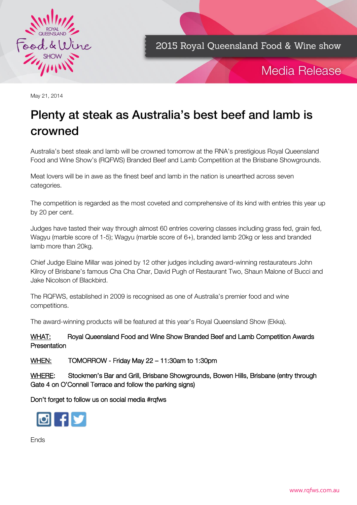

2015 Royal Queensland Food & Wine show



May 21, 2014

# Plenty at steak as Australia's best beef and lamb is crowned and control to

Australia's best steak and lamb will be crowned tomorrow at the RNA's prestigious Royal Queensland Food and Wine Show's (RQFWS) Branded Beef and Lamb Competition at the Brisbane Showgrounds.

Meat lovers will be in awe as the finest beef and lamb in the nation is unearthed across seven categories.

The competition is regarded as the most coveted and comprehensive of its kind with entries this year up by 20 per cent.

Judges have tasted their way through almost 60 entries covering classes including grass fed, grain fed, Wagyu (marble score of 1-5); Wagyu (marble score of 6+), branded lamb 20kg or less and branded lamb more than 20kg.

Chief Judge Elaine Millar was joined by 12 other judges including award-winning restaurateurs John Kilroy of Brisbane's famous Cha Cha Char, David Pugh of Restaurant Two, Shaun Malone of Bucci and Jake Nicolson of Blackbird.

The RQFWS, established in 2009 is recognised as one of Australia's premier food and wine competitions.

The award-winning products will be featured at this year's Royal Queensland Show (Ekka).

#### WHAT: Royal Queensland Food and Wine Show Branded Beef and Lamb Competition Awards Presentation

WHEN: TOMORROW - Friday May 22 – 11:30am to 1:30pm

WHERE: Stockmen's Bar and Grill, Brisbane Showgrounds, Bowen Hills, Brisbane (entry through Gate 4 on O'Connell Terrace and follow the parking signs)

Don't forget to follow us on social media #rqfws



Ends